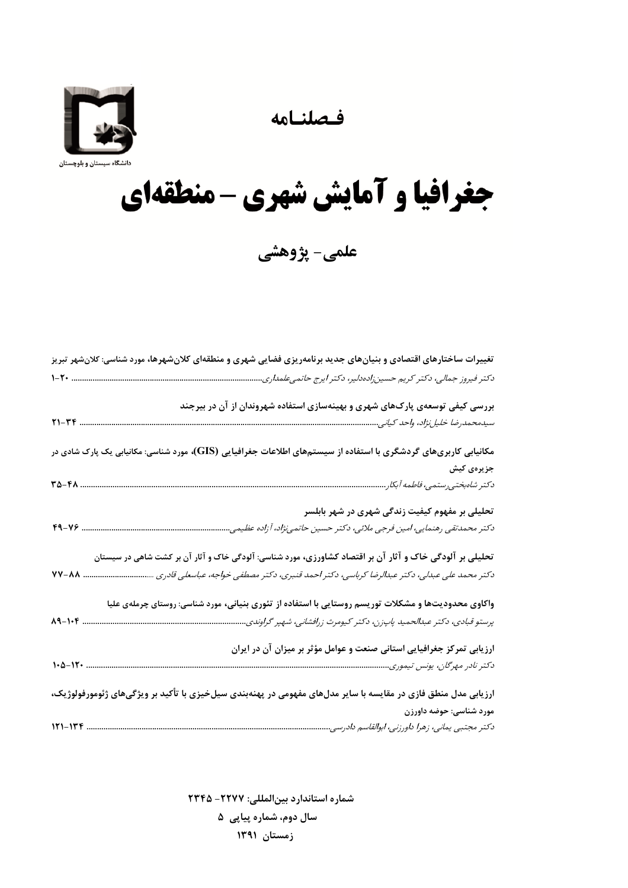فصلنامه



## جغرافيا و آمايش شهري - منطقهاي

علمی- پژوهشی

| تغییرات ساختارهای اقتصادی و بنیانهای جدید برنامهریزی فضایی شهری و منطقهای کلانشهرها، مورد شناسی: کلانشهر تبریز  |
|-----------------------------------------------------------------------------------------------------------------|
| $1 - 7 - $                                                                                                      |
| بررسی کیفی توسعهی پارک@ای شهری و بهینهسازی استفاده شهروندان از آن در بیرجند                                     |
| $Y1 - YF$ .                                                                                                     |
| مکانیابی کاربریهای گردشگری با استفاده از سیستمهای اطلاعات جغرافیایی (GIS)، مورد شناسی: مکانیابی یک پارک شادی در |
| جزیرہی کیش                                                                                                      |
| تحلیلی بر مفهوم کیفیت زندگی شهری در شهر بابلسر                                                                  |
| دکتر محمدتقی رهنمایی، امین فرجی ملائی، دکتر حسین حاتمینژاد، آزاده عظیمی.                                        |
| تحلیلی بر آلودگی خاک و آثار آن بر اقتصاد کشاورزی، مورد شناسی: آلودگی خاک و آثار آن بر کشت شاهی در سیستان        |
| دکتر محمد علی عبدلی، دکتر عبدالرضا کرباسی، دکتر احمد قنبری، دکتر مصطفی خواجه، عباسعلی قادری<br><b>VV-AA</b>     |
| واکاوی محدودیتها و مشکلات توریسم روستایی با استفاده از تئوری بنیانی، مورد شناسی: روستای چرملهی علیا             |
| پرستو قبادی، دکتر عبدالحمید پاپزن، دکتر کیومرث زرافشانی، شهپر گراوندی.                                          |
| ارزیابی تمرکز جغرافیایی استانی صنعت و عوامل مؤثر بر میزان آن در ایران                                           |
|                                                                                                                 |
| ارزیابی مدل منطق فازی در مقایسه با سایر مدلهای مفهومی در پهنهبندی سیلخیزی با تأکید بر ویژگیهای ژئومورفولوژیک،   |
| مورد شناسی: حوضه داورزن                                                                                         |
|                                                                                                                 |

شماره استاندارد بين المللي: ٢٢٢٧- ٢٣۴۵ سال دوم، شماره پیاپی ۵ زمستان ۱۳۹۱